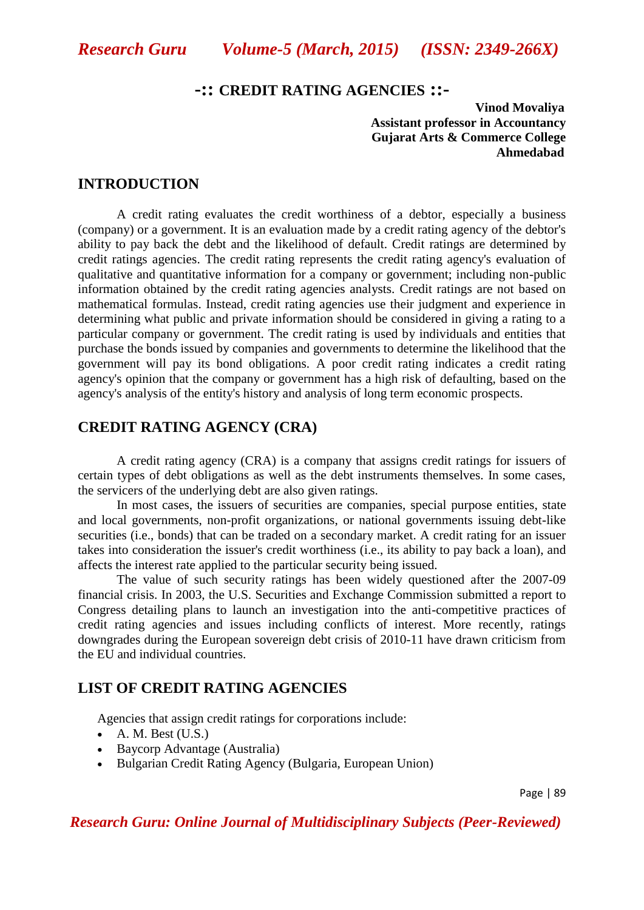# **-:: CREDIT RATING AGENCIES ::-**

 **Vinod Movaliya Assistant professor in Accountancy Gujarat Arts & Commerce College Ahmedabad**

#### **INTRODUCTION**

A credit rating evaluates the [credit worthiness](http://en.wikipedia.org/wiki/Credit_worthiness) of a [debtor,](http://en.wikipedia.org/wiki/Debtor) especially a [business](http://en.wikipedia.org/wiki/Business) [\(company\)](http://en.wikipedia.org/wiki/Company) or a government. It is an evaluation made by a [credit rating agency](http://en.wikipedia.org/wiki/Credit_rating_agency) of the debtor's ability to pay back the debt and the likelihood of [default.](http://en.wikipedia.org/wiki/Default_%28finance%29) Credit ratings are determined by [credit ratings agencies.](http://en.wikipedia.org/wiki/Credit_rating_agency) The credit rating represents the credit rating agency's evaluation of qualitative and quantitative information for a company or government; including non-public information obtained by the credit rating agencies analysts. Credit ratings are not based on mathematical formulas. Instead, credit rating agencies use their judgment and experience in determining what public and private information should be considered in giving a rating to a particular company or government. The credit rating is used by individuals and entities that purchase the bonds issued by companies and governments to determine the likelihood that the government will pay its bond obligations. A poor credit rating indicates a credit rating agency's opinion that the company or government has a high risk of [defaulting,](http://en.wikipedia.org/wiki/Default_%28finance%29) based on the agency's analysis of the entity's history and analysis of long term economic prospects.

# **CREDIT RATING AGENCY (CRA)**

A credit rating agency (CRA) is a company that assigns [credit ratings](http://en.wikipedia.org/wiki/Credit_rating) for [issuers](http://en.wikipedia.org/wiki/Issuer) of certain types of [debt](http://en.wikipedia.org/wiki/Debt) obligations as well as the debt instruments themselves. In some cases, the servicers of the underlying debt are also given ratings.

In most cases, the issuers of [securities](http://en.wikipedia.org/wiki/Securities) are companies, [special purpose entities,](http://en.wikipedia.org/wiki/Special_purpose_entity) state and local governments, [non-profit organizations,](http://en.wikipedia.org/wiki/Non-profit_organization) or national governments issuing debt-like securities (i.e., [bonds\)](http://en.wikipedia.org/wiki/Bond_%28finance%29) that can be traded on a [secondary market.](http://en.wikipedia.org/wiki/Secondary_market) A credit rating for an issuer takes into consideration the issuer's [credit worthiness](http://en.wikipedia.org/wiki/Credit_worthiness) (i.e., its ability to pay back a [loan\)](http://en.wikipedia.org/wiki/Loan), and affects the [interest rate](http://en.wikipedia.org/wiki/Interest_rate) applied to the particular security being issued.

The value of such security ratings has been widely questioned after the [2007-09](http://en.wikipedia.org/wiki/2008%E2%80%932012_global_financial_crisis)  [financial crisis.](http://en.wikipedia.org/wiki/2008%E2%80%932012_global_financial_crisis) In 2003, the U.S. [Securities and Exchange Commission](http://en.wikipedia.org/wiki/Securities_and_Exchange_Commission) submitted a report to Congress detailing plans to launch an investigation into the anti-competitive practices of credit rating agencies and issues including conflicts of interest. More recently, ratings downgrades during the [European sovereign debt crisis](http://en.wikipedia.org/wiki/European_sovereign_debt_crisis) of 2010-11 have drawn criticism from the EU and individual countries.

#### **LIST OF CREDIT RATING AGENCIES**

Agencies that assign credit ratings for corporations include:

- $\bullet$  [A. M. Best](http://en.wikipedia.org/wiki/A._M._Best) [\(U.S.\)](http://en.wikipedia.org/wiki/U.S.)
- [Baycorp Advantage](http://en.wikipedia.org/wiki/Baycorp_Advantage) [\(Australia\)](http://en.wikipedia.org/wiki/Australia)
- [Bulgarian Credit Rating Agency](http://en.wikipedia.org/w/index.php?title=Bulgarian_Credit_Rating_Agency&action=edit&redlink=1) [\(Bulgaria,](http://en.wikipedia.org/wiki/Bulgaria) [European Union\)](http://en.wikipedia.org/wiki/European_Union)

Page | 89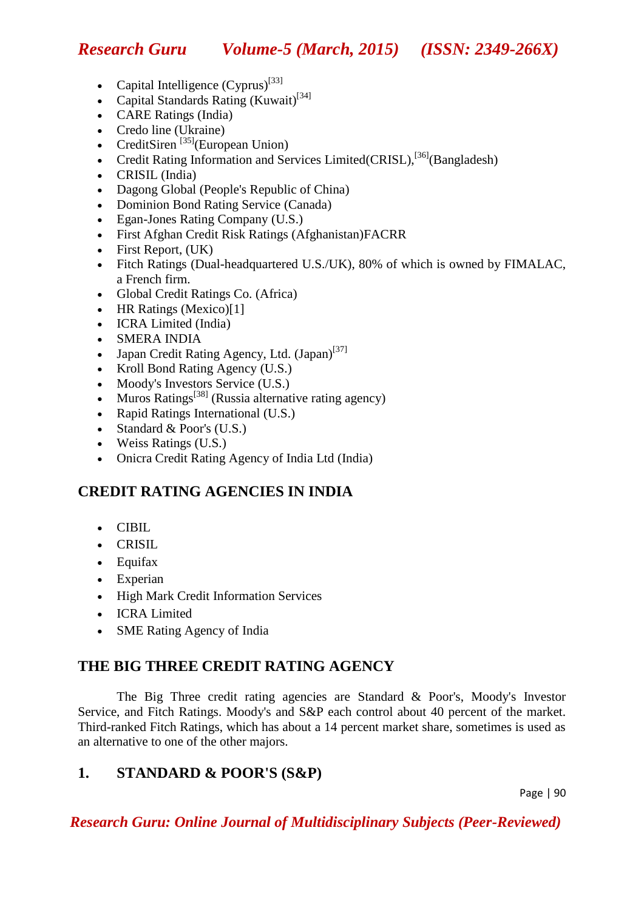*Research Guru Volume-5 (March, 2015) (ISSN: 2349-266X)*

- Capital Intelligence  $(Cyprus)^{[33]}$  $(Cyprus)^{[33]}$  $(Cyprus)^{[33]}$  $(Cyprus)^{[33]}$
- [Capital Standards Rating](http://en.wikipedia.org/w/index.php?title=Capital_Standards_Rating&action=edit&redlink=1) [\(Kuwait\)](http://en.wikipedia.org/wiki/Kuwait)<sup>[\[34\]](http://en.wikipedia.org/wiki/Credit_rating_agency#cite_note-33)</sup>
- [CARE Ratings](http://en.wikipedia.org/w/index.php?title=CARE_Ratings&action=edit&redlink=1) (India)
- [Credo line](http://en.wikipedia.org/wiki/Credo_line) [\(Ukraine\)](http://en.wikipedia.org/wiki/Ukraine)
- [CreditSiren](http://en.wikipedia.org/w/index.php?title=CreditSiren&action=edit&redlink=1)  $^{[35]}$  $^{[35]}$  $^{[35]}$ [\(European Union\)](http://en.wikipedia.org/wiki/European_Union)
- [Credit Rating Information and Services Limited\(](http://en.wikipedia.org/wiki/Credit_Rating_Information_and_Services_Limited)CRISL), $^{[36]}$  $^{[36]}$  $^{[36]}$ [\(Bangladesh\)](http://en.wikipedia.org/wiki/Bangladesh)
- [CRISIL](http://en.wikipedia.org/wiki/CRISIL) (India)
- [Dagong Global](http://en.wikipedia.org/wiki/Dagong) [\(People's Republic of China\)](http://en.wikipedia.org/wiki/People%27s_Republic_of_China)
- [Dominion Bond Rating Service](http://en.wikipedia.org/wiki/Dominion_Bond_Rating_Service) [\(Canada\)](http://en.wikipedia.org/wiki/Canada)
- [Egan-Jones Rating Company](http://en.wikipedia.org/wiki/Egan-Jones_Rating_Company) (U.S.)
- [First Afghan Credit Risk Ratings](http://en.wikipedia.org/w/index.php?title=First_Afghan_Credit_Risk_Ratings&action=edit&redlink=1) (Afghanistan[\)FACRR](http://afghanriskratings.com/)
- $\bullet$  [First Report,](http://www.firstreport.co.uk/) (UK)
- [Fitch Ratings](http://en.wikipedia.org/wiki/Fitch_Ratings) (Dual-headquartered U.S.[/UK\)](http://en.wikipedia.org/wiki/UK), 80% of which is owned by [FIMALAC,](http://en.wikipedia.org/wiki/FIMALAC) a French firm.
- [Global Credit Ratings Co.](http://en.wikipedia.org/w/index.php?title=Global_Credit_Ratings_Co.&action=edit&redlink=1) [\(Africa\)](http://en.wikipedia.org/wiki/Africa)
- $\bullet$  [HR Ratings](http://en.wikipedia.org/w/index.php?title=HR_Ratings&action=edit&redlink=1) (Mexico[\)\[1\]](http://hrratings.com/es/index.aspx)
- [ICRA Limited](http://en.wikipedia.org/wiki/ICRA_Limited) (India)
- SMERA INDIA
- [Japan Credit Rating Agency, Ltd.](http://en.wikipedia.org/wiki/Japan_Credit_Rating_Agency,_Ltd.) [\(Japan\)](http://en.wikipedia.org/wiki/Japan)<sup>[\[37\]](http://en.wikipedia.org/wiki/Credit_rating_agency#cite_note-36)</sup>
- [Kroll Bond Rating Agency](http://en.wikipedia.org/w/index.php?title=Kroll_Bond_Rating_Agency&action=edit&redlink=1)  $(U.S.)$
- [Moody's Investors Service](http://en.wikipedia.org/wiki/Moody%27s_Investors_Service) (U.S.)
- Muros Ratings<sup>[\[38\]](http://en.wikipedia.org/wiki/Credit_rating_agency#cite_note-37)</sup> [\(Russia](http://en.wikipedia.org/wiki/Russia) alternative rating agency)
- [Rapid Ratings International](http://www.rapidratings.com/) (U.S.)
- Standard  $&$  Poor's (U.S.)
- [Weiss Ratings](http://en.wikipedia.org/w/index.php?title=Weiss_Ratings&action=edit&redlink=1) (U.S.)
- Onicra Credit Rating Agency of India Ltd (India)

# **CREDIT RATING AGENCIES IN INDIA**

- $\bullet$  [CIBIL](http://en.wikipedia.org/wiki/CIBIL)
- [CRISIL](http://en.wikipedia.org/wiki/CRISIL)
- [Equifax](http://en.wikipedia.org/wiki/Equifax)
- [Experian](http://en.wikipedia.org/wiki/Experian)
- [High Mark Credit Information Services](http://en.wikipedia.org/wiki/High_Mark_Credit_Information_Services)
- [ICRA Limited](http://en.wikipedia.org/wiki/ICRA_Limited)
- [SME Rating Agency of India](http://en.wikipedia.org/wiki/SME_Rating_Agency_of_India)

# **THE BIG THREE CREDIT RATING AGENCY**

The Big Three credit rating agencies are [Standard & Poor's,](http://en.wikipedia.org/wiki/Standard_%26_Poor%27s) [Moody's](http://en.wikipedia.org/wiki/Moody%27s) Investor Service, and [Fitch Ratings.](http://en.wikipedia.org/wiki/Fitch_Ratings) Moody's and S&P each control about 40 percent of the market. Third-ranked Fitch Ratings, which has about a 14 percent market share, sometimes is used as an alternative to one of the other majors.

# **1. STANDARD & POOR'S (S&P)**

Page | 90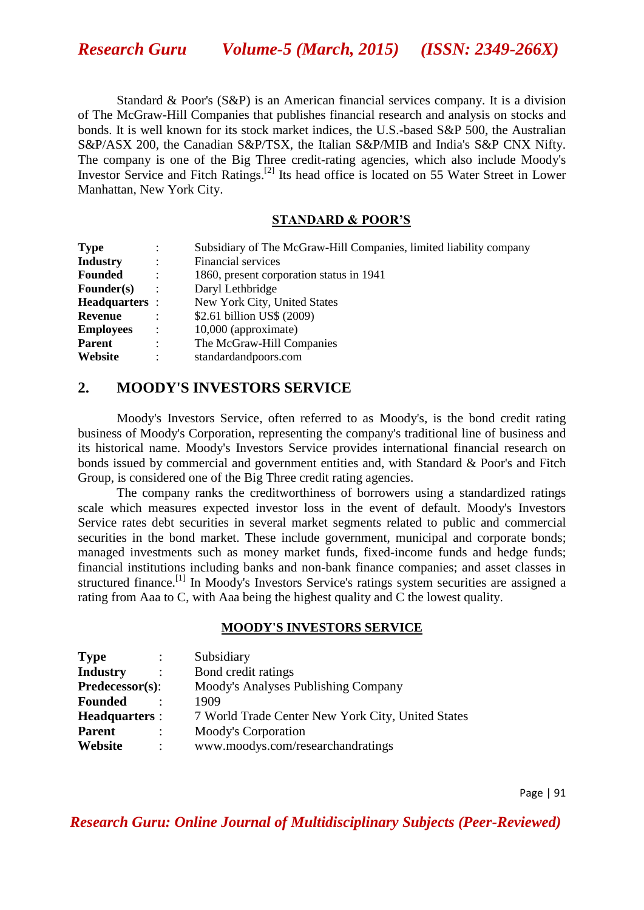Standard & Poor's (S&P) is an American [financial services](http://en.wikipedia.org/wiki/Financial_services) company. It is a division of [The McGraw-Hill Companies](http://en.wikipedia.org/wiki/McGraw-Hill) that publishes financial research and analysis on [stocks](http://en.wikipedia.org/wiki/Stock) and [bonds.](http://en.wikipedia.org/wiki/Bond_%28finance%29) It is well known for its [stock market indices,](http://en.wikipedia.org/wiki/Stock_market_index) the U.S.-based [S&P 500,](http://en.wikipedia.org/wiki/S%26P_500) the Australian [S&P/ASX 200,](http://en.wikipedia.org/wiki/S%26P/ASX_200) the Canadian [S&P/TSX,](http://en.wikipedia.org/wiki/S%26P/TSX_Composite) the Italian [S&P/MIB](http://en.wikipedia.org/wiki/S%26P/MIB) and India's [S&P CNX Nifty.](http://en.wikipedia.org/wiki/S%26P_CNX_Nifty) The company is one of the [Big Three](http://en.wikipedia.org/wiki/Big_Three_%28credit_rating_agencies%29) [credit-rating agencies,](http://en.wikipedia.org/wiki/Credit_rating_agency) which also include [Moody's](http://en.wikipedia.org/wiki/Moody%27s)  [Investor Service](http://en.wikipedia.org/wiki/Moody%27s) and [Fitch Ratings.](http://en.wikipedia.org/wiki/Fitch_Group)<sup>[\[2\]](http://en.wikipedia.org/wiki/Standard_%26_Poor%27s#cite_note-1)</sup> Its head office is located on [55 Water Street](http://en.wikipedia.org/wiki/55_Water_Street) in Lower [Manhattan,](http://en.wikipedia.org/wiki/Lower_Manhattan) [New York City.](http://en.wikipedia.org/wiki/New_York_City)

#### **STANDARD & POOR'S**

| <b>Type</b>           | $\ddot{\cdot}$       | Subsidiary of The McGraw-Hill Companies, limited liability company |
|-----------------------|----------------------|--------------------------------------------------------------------|
| <b>Industry</b>       | $\ddot{\cdot}$       | Financial services                                                 |
| <b>Founded</b>        | $\ddot{\phantom{a}}$ | 1860, present corporation status in 1941                           |
| $\textbf{Founder}(s)$ | ÷                    | Daryl Lethbridge                                                   |
| <b>Headquarters</b> : |                      | New York City, United States                                       |
| Revenue               |                      | \$2.61 billion US\$ (2009)                                         |
| <b>Employees</b>      | $\mathbb{R}^2$       | 10,000 (approximate)                                               |
| <b>Parent</b>         | $\ddot{\cdot}$       | The McGraw-Hill Companies                                          |
| Website               | $\ddot{\cdot}$       | standardandpoors.com                                               |

# **2. MOODY'S INVESTORS SERVICE**

Moody's Investors Service, often referred to as Moody's, is the [bond credit rating](http://en.wikipedia.org/wiki/Bond_credit_rating) business of [Moody's Corporation,](http://en.wikipedia.org/wiki/Moody%27s_Corporation) representing the company's traditional line of business and its historical name. Moody's Investors Service provides international financial research on [bonds](http://en.wikipedia.org/wiki/Bond_%28finance%29) issued by commercial and government entities and, with [Standard & Poor's](http://en.wikipedia.org/wiki/Standard_%26_Poor%27s) and [Fitch](http://en.wikipedia.org/wiki/Fitch_Group)  [Group,](http://en.wikipedia.org/wiki/Fitch_Group) is considered one of the [Big Three credit rating agencies.](http://en.wikipedia.org/wiki/Big_Three_%28credit_rating_agencies%29)

The company ranks the [creditworthiness](http://en.wikipedia.org/wiki/Credit_risk) of borrowers using a standardized ratings scale which measures expected investor loss in the event of [default.](http://en.wikipedia.org/wiki/Default_%28finance%29) Moody's Investors Service rates [debt securities](http://en.wikipedia.org/wiki/Security_%28finance%29) in several market segments related to [public](http://en.wikipedia.org/wiki/Government_debt) and [commercial](http://en.wikipedia.org/wiki/Commercial_paper) securities in the [bond market.](http://en.wikipedia.org/wiki/Bond_market) These include [government,](http://en.wikipedia.org/wiki/Government_bond) [municipal](http://en.wikipedia.org/wiki/Municipal_bond) and [corporate bonds;](http://en.wikipedia.org/wiki/Corporate_bond) managed investments such as [money market funds,](http://en.wikipedia.org/wiki/Money_market_fund) fixed-income funds and [hedge funds;](http://en.wikipedia.org/wiki/Hedge_fund) financial institutions including banks and non-bank finance companies; and asset classes in [structured finance.](http://en.wikipedia.org/wiki/Structured_finance)<sup>[\[1\]](http://en.wikipedia.org/wiki/Moody%27s_Investors_Service#cite_note-Moody.27s_Market_Segments-0)</sup> In Moody's Investors Service's ratings system securities are assigned a rating from Aaa to C, with Aaa being the highest quality and C the lowest quality.

#### **MOODY'S INVESTORS SERVICE**

| <b>Type</b><br>$\ddot{\phantom{a}}$ | Subsidiary                                        |
|-------------------------------------|---------------------------------------------------|
| <b>Industry</b>                     | Bond credit ratings                               |
| Predecessor(s):                     | Moody's Analyses Publishing Company               |
| <b>Founded</b>                      | 1909                                              |
| <b>Headquarters:</b>                | 7 World Trade Center New York City, United States |
| <b>Parent</b><br>٠                  | Moody's Corporation                               |
| Website                             | www.moodys.com/researchandratings                 |
|                                     |                                                   |

Page | 91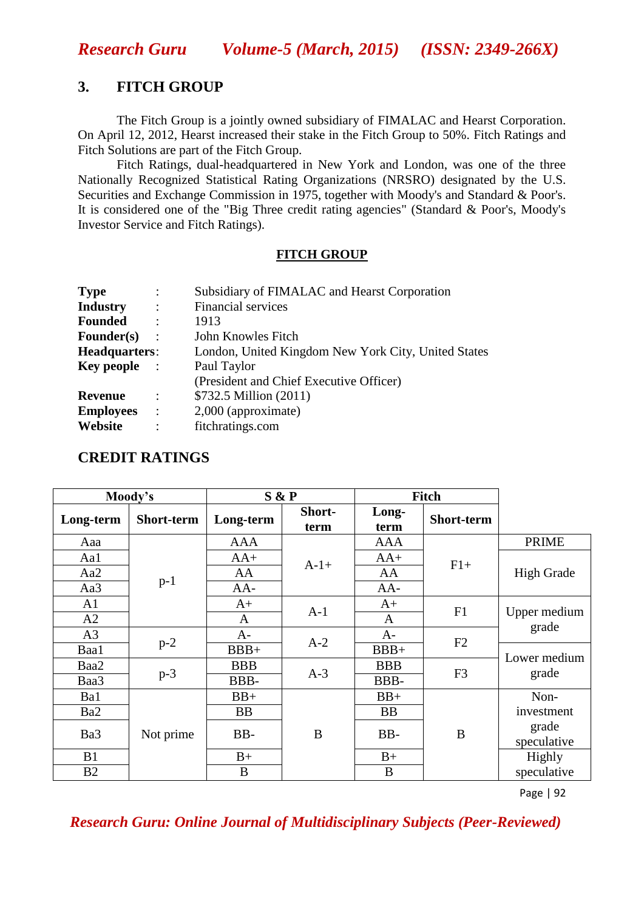### **3. FITCH GROUP**

The Fitch Group is a jointly owned subsidiary of [FIMALAC](http://en.wikipedia.org/wiki/FIMALAC) and [Hearst Corporation.](http://en.wikipedia.org/wiki/Hearst_Corporation) On April 12, 2012, Hearst increased their stake in the Fitch Group to 50%. Fitch Ratings and Fitch Solutions are part of the Fitch Group.

Fitch Ratings, dual-headquartered in New York and London, was one of the three [Nationally Recognized Statistical Rating Organizations](http://en.wikipedia.org/wiki/Nationally_Recognized_Statistical_Rating_Organization) (NRSRO) designated by the [U.S.](http://en.wikipedia.org/wiki/U.S._Securities_and_Exchange_Commission)  [Securities and Exchange Commission](http://en.wikipedia.org/wiki/U.S._Securities_and_Exchange_Commission) in 1975, together with [Moody's](http://en.wikipedia.org/wiki/Moody%27s) and [Standard & Poor's.](http://en.wikipedia.org/wiki/Standard_%26_Poor%27s) It is considered one of the ["Big Three credit rating agencies"](http://en.wikipedia.org/wiki/Big_Three_%28credit_rating_agencies%29) (Standard & Poor's, Moody's Investor Service and Fitch Ratings).

#### **FITCH GROUP**

| <b>Type</b>       | $\ddot{\cdot}$         | Subsidiary of FIMALAC and Hearst Corporation        |  |  |  |  |
|-------------------|------------------------|-----------------------------------------------------|--|--|--|--|
| <b>Industry</b>   | $\ddot{\phantom{1}}$ : | <b>Financial services</b>                           |  |  |  |  |
| <b>Founded</b>    | $\ddot{\phantom{1}}$   | 1913                                                |  |  |  |  |
| <b>Founder(s)</b> | $\ddot{\phantom{1}}$   | John Knowles Fitch                                  |  |  |  |  |
| Headquarters:     |                        | London, United Kingdom New York City, United States |  |  |  |  |
| <b>Key people</b> | Paul Taylor            |                                                     |  |  |  |  |
|                   |                        | (President and Chief Executive Officer)             |  |  |  |  |
| Revenue           | $\ddot{\cdot}$         | \$732.5 Million (2011)                              |  |  |  |  |
| <b>Employees</b>  | $\cdot$                | 2,000 (approximate)                                 |  |  |  |  |
| Website           | $\ddot{\cdot}$         | fitchratings.com                                    |  |  |  |  |
|                   |                        |                                                     |  |  |  |  |

# **CREDIT RATINGS**

| Moody's        |            | S & P      |                | Fitch         |                |                       |  |
|----------------|------------|------------|----------------|---------------|----------------|-----------------------|--|
| Long-term      | Short-term | Long-term  | Short-<br>term | Long-<br>term | Short-term     |                       |  |
| Aaa            | $p-1$      | <b>AAA</b> | $A-1+$         | <b>AAA</b>    | $F1+$          | <b>PRIME</b>          |  |
| Aa1            |            | $AA+$      |                | $AA+$         |                | <b>High Grade</b>     |  |
| Aa2            |            | AA         |                | AA            |                |                       |  |
| Aa3            |            | $AA-$      |                | $AA-$         |                |                       |  |
| A1             |            | $A+$       | $A-1$          | $A+$          | F1             | Upper medium<br>grade |  |
| A2             |            | A          |                | A             |                |                       |  |
| A <sub>3</sub> | $p-2$      |            | $A-$           | $A-2$         | $A-$           | F2                    |  |
| Baa1           |            | $BBB+$     |                | $BBB+$        |                | Lower medium<br>grade |  |
| Baa2           | $p-3$      | <b>BBB</b> |                | <b>BBB</b>    | F <sub>3</sub> |                       |  |
| Baa3           |            | BBB-       | $A-3$          | BBB-          |                |                       |  |
| Ba1            | Not prime  | $BB+$      |                | $BB+$         |                | Non-                  |  |
| Ba2            |            | <b>BB</b>  | B              | <b>BB</b>     | B              | investment            |  |
| Ba3            |            | BB-        |                | BB-           |                | grade<br>speculative  |  |
| B1             |            | $B+$       |                | $B+$          |                | Highly                |  |
| B2             |            | B          |                | B             |                | speculative           |  |

Page | 92